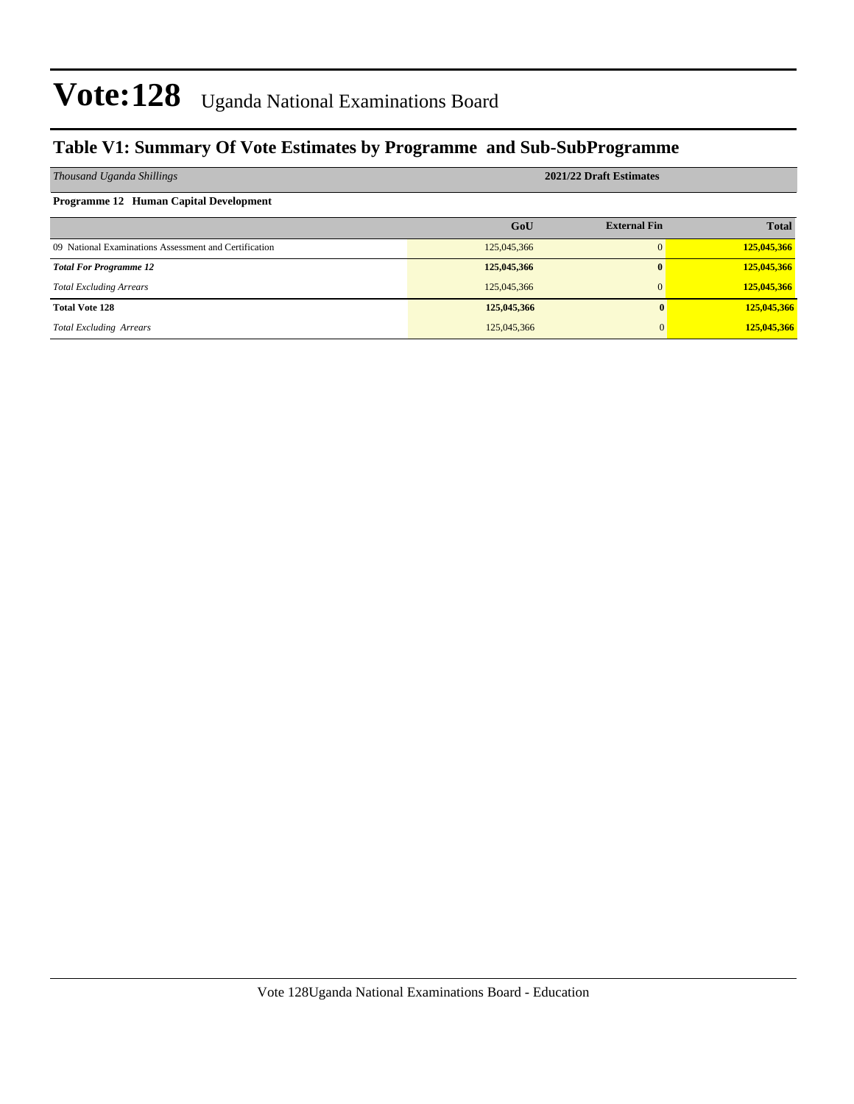### **Table V1: Summary Of Vote Estimates by Programme and Sub-SubProgramme**

| Thousand Uganda Shillings                             | 2021/22 Draft Estimates |                     |              |  |  |  |  |
|-------------------------------------------------------|-------------------------|---------------------|--------------|--|--|--|--|
| <b>Programme 12 Human Capital Development</b>         |                         |                     |              |  |  |  |  |
|                                                       | GoU                     | <b>External Fin</b> | <b>Total</b> |  |  |  |  |
| 09 National Examinations Assessment and Certification | 125,045,366             | $\Omega$            | 125,045,366  |  |  |  |  |
| <b>Total For Programme 12</b>                         | 125,045,366             | $\bf{0}$            | 125,045,366  |  |  |  |  |
| <b>Total Excluding Arrears</b>                        | 125,045,366             | $\Omega$            | 125,045,366  |  |  |  |  |
| <b>Total Vote 128</b>                                 | 125,045,366             |                     | 125,045,366  |  |  |  |  |
| <b>Total Excluding Arrears</b>                        | 125,045,366             |                     | 125,045,366  |  |  |  |  |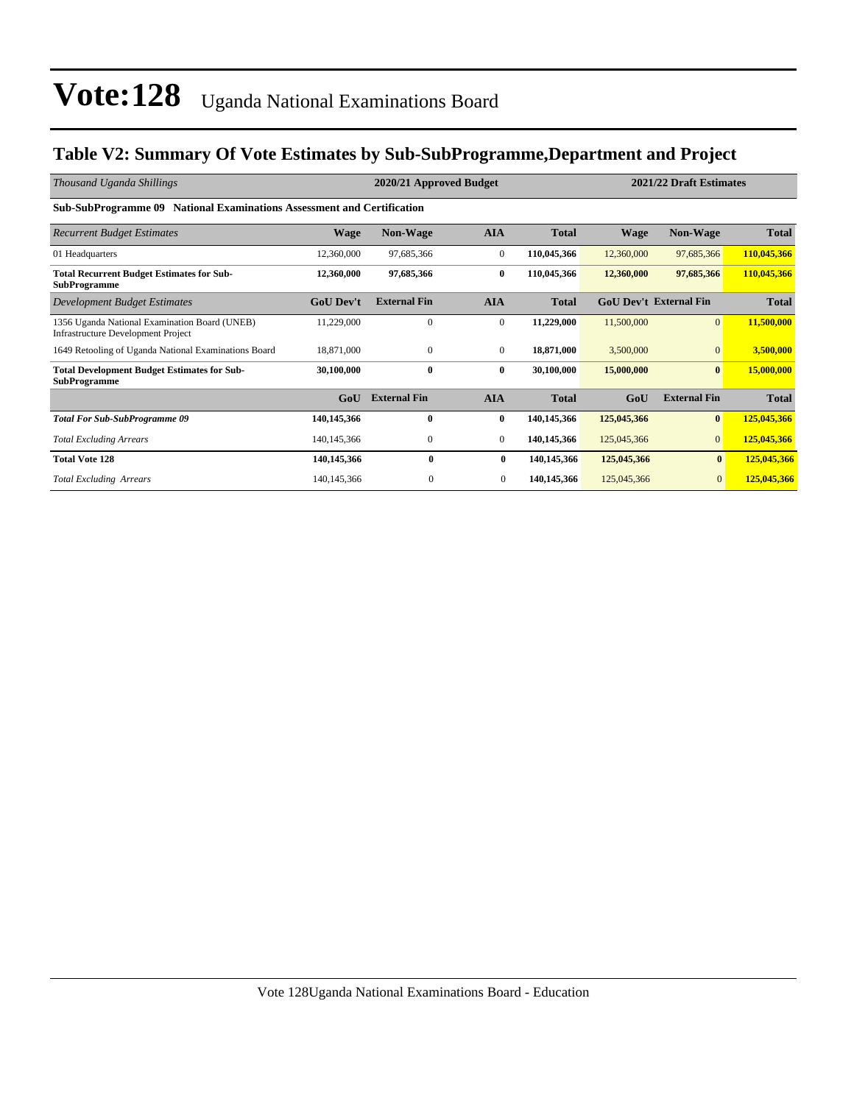### **Table V2: Summary Of Vote Estimates by Sub-SubProgramme,Department and Project**

| Thousand Uganda Shillings                                                           | 2020/21 Approved Budget |                     |                  |              |             | 2021/22 Draft Estimates       |              |  |  |  |  |
|-------------------------------------------------------------------------------------|-------------------------|---------------------|------------------|--------------|-------------|-------------------------------|--------------|--|--|--|--|
| <b>Sub-SubProgramme 09 National Examinations Assessment and Certification</b>       |                         |                     |                  |              |             |                               |              |  |  |  |  |
| <b>Recurrent Budget Estimates</b>                                                   | <b>Wage</b>             | <b>Non-Wage</b>     | <b>AIA</b>       | <b>Total</b> | <b>Wage</b> | <b>Non-Wage</b>               | <b>Total</b> |  |  |  |  |
| 01 Headquarters                                                                     | 12,360,000              | 97,685,366          | $\overline{0}$   | 110,045,366  | 12,360,000  | 97,685,366                    | 110,045,366  |  |  |  |  |
| <b>Total Recurrent Budget Estimates for Sub-</b><br><b>SubProgramme</b>             | 12,360,000              | 97,685,366          | $\bf{0}$         | 110,045,366  | 12,360,000  | 97,685,366                    | 110,045,366  |  |  |  |  |
| <b>Development Budget Estimates</b>                                                 | <b>GoU Dev't</b>        | <b>External Fin</b> | <b>AIA</b>       | <b>Total</b> |             | <b>GoU Dev't External Fin</b> | <b>Total</b> |  |  |  |  |
| 1356 Uganda National Examination Board (UNEB)<br>Infrastructure Development Project | 11,229,000              | $\mathbf{0}$        | $\boldsymbol{0}$ | 11,229,000   | 11,500,000  | $\mathbf{0}$                  | 11,500,000   |  |  |  |  |
| 1649 Retooling of Uganda National Examinations Board                                | 18.871.000              | $\mathbf{0}$        | $\overline{0}$   | 18,871,000   | 3,500,000   | $\Omega$                      | 3,500,000    |  |  |  |  |
| <b>Total Development Budget Estimates for Sub-</b><br><b>SubProgramme</b>           | 30,100,000              | $\bf{0}$            | $\bf{0}$         | 30,100,000   | 15,000,000  | $\bf{0}$                      | 15,000,000   |  |  |  |  |
|                                                                                     | GoU                     | <b>External Fin</b> | <b>AIA</b>       | <b>Total</b> | GoU         | <b>External Fin</b>           | <b>Total</b> |  |  |  |  |
| <b>Total For Sub-SubProgramme 09</b>                                                | 140,145,366             | $\mathbf{0}$        | $\bf{0}$         | 140,145,366  | 125,045,366 | $\bf{0}$                      | 125,045,366  |  |  |  |  |
| <b>Total Excluding Arrears</b>                                                      | 140, 145, 366           | $\mathbf{0}$        | $\overline{0}$   | 140,145,366  | 125,045,366 | $\mathbf{0}$                  | 125,045,366  |  |  |  |  |
| <b>Total Vote 128</b>                                                               | 140,145,366             | $\bf{0}$            | $\bf{0}$         | 140,145,366  | 125,045,366 | $\bf{0}$                      | 125,045,366  |  |  |  |  |
| <b>Total Excluding Arrears</b>                                                      | 140, 145, 366           | $\theta$            | $\mathbf{0}$     | 140,145,366  | 125,045,366 | $\mathbf{0}$                  | 125,045,366  |  |  |  |  |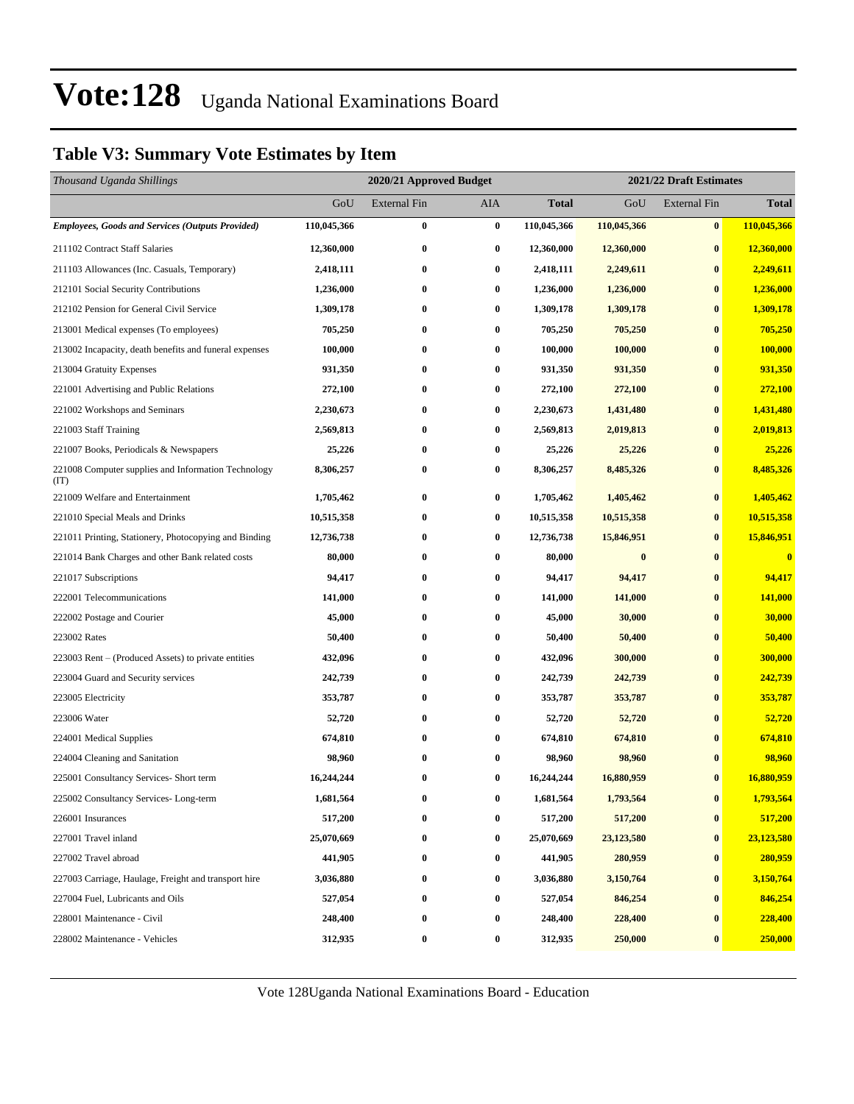### **Table V3: Summary Vote Estimates by Item**

| Thousand Uganda Shillings                                   |             | 2020/21 Approved Budget |                  | 2021/22 Draft Estimates |             |                     |              |
|-------------------------------------------------------------|-------------|-------------------------|------------------|-------------------------|-------------|---------------------|--------------|
|                                                             | GoU         | <b>External Fin</b>     | AIA              | <b>Total</b>            | GoU         | <b>External Fin</b> | <b>Total</b> |
| <b>Employees, Goods and Services (Outputs Provided)</b>     | 110,045,366 | $\bf{0}$                | $\bf{0}$         | 110,045,366             | 110,045,366 | $\bf{0}$            | 110,045,366  |
| 211102 Contract Staff Salaries                              | 12,360,000  | $\bf{0}$                | $\bf{0}$         | 12,360,000              | 12,360,000  | $\bf{0}$            | 12,360,000   |
| 211103 Allowances (Inc. Casuals, Temporary)                 | 2,418,111   | $\bf{0}$                | $\bf{0}$         | 2,418,111               | 2,249,611   | $\bf{0}$            | 2,249,611    |
| 212101 Social Security Contributions                        | 1,236,000   | $\bf{0}$                | 0                | 1,236,000               | 1,236,000   | $\bf{0}$            | 1,236,000    |
| 212102 Pension for General Civil Service                    | 1,309,178   | $\bf{0}$                | $\bf{0}$         | 1,309,178               | 1,309,178   | $\bf{0}$            | 1,309,178    |
| 213001 Medical expenses (To employees)                      | 705,250     | $\bf{0}$                | 0                | 705,250                 | 705,250     | $\bf{0}$            | 705,250      |
| 213002 Incapacity, death benefits and funeral expenses      | 100,000     | $\bf{0}$                | $\bf{0}$         | 100,000                 | 100,000     | $\bf{0}$            | 100,000      |
| 213004 Gratuity Expenses                                    | 931,350     | $\bf{0}$                | $\bf{0}$         | 931,350                 | 931,350     | $\bf{0}$            | 931,350      |
| 221001 Advertising and Public Relations                     | 272,100     | $\bf{0}$                | 0                | 272,100                 | 272,100     | $\bf{0}$            | 272,100      |
| 221002 Workshops and Seminars                               | 2,230,673   | $\bf{0}$                | $\bf{0}$         | 2,230,673               | 1,431,480   | $\bf{0}$            | 1,431,480    |
| 221003 Staff Training                                       | 2,569,813   | $\bf{0}$                | 0                | 2,569,813               | 2,019,813   | $\bf{0}$            | 2,019,813    |
| 221007 Books, Periodicals & Newspapers                      | 25,226      | $\bf{0}$                | 0                | 25,226                  | 25,226      | $\bf{0}$            | 25,226       |
| 221008 Computer supplies and Information Technology<br>(TT) | 8,306,257   | $\bf{0}$                | 0                | 8,306,257               | 8,485,326   | $\bf{0}$            | 8,485,326    |
| 221009 Welfare and Entertainment                            | 1,705,462   | $\bf{0}$                | $\bf{0}$         | 1,705,462               | 1,405,462   | $\bf{0}$            | 1,405,462    |
| 221010 Special Meals and Drinks                             | 10,515,358  | $\bf{0}$                | 0                | 10,515,358              | 10,515,358  | $\bf{0}$            | 10,515,358   |
| 221011 Printing, Stationery, Photocopying and Binding       | 12,736,738  | $\bf{0}$                | $\bf{0}$         | 12,736,738              | 15,846,951  | $\bf{0}$            | 15,846,951   |
| 221014 Bank Charges and other Bank related costs            | 80,000      | $\bf{0}$                | 0                | 80,000                  | $\bf{0}$    | $\bf{0}$            | $\bf{0}$     |
| 221017 Subscriptions                                        | 94,417      | $\bf{0}$                | 0                | 94,417                  | 94,417      | $\bf{0}$            | 94,417       |
| 222001 Telecommunications                                   | 141,000     | $\bf{0}$                | $\bf{0}$         | 141,000                 | 141,000     | $\bf{0}$            | 141,000      |
| 222002 Postage and Courier                                  | 45,000      | $\bf{0}$                | 0                | 45,000                  | 30,000      | $\bf{0}$            | 30,000       |
| 223002 Rates                                                | 50,400      | $\bf{0}$                | $\bf{0}$         | 50,400                  | 50,400      | $\bf{0}$            | 50,400       |
| 223003 Rent – (Produced Assets) to private entities         | 432,096     | $\bf{0}$                | 0                | 432,096                 | 300,000     | $\bf{0}$            | 300,000      |
| 223004 Guard and Security services                          | 242,739     | $\bf{0}$                | $\boldsymbol{0}$ | 242,739                 | 242,739     | $\bf{0}$            | 242,739      |
| 223005 Electricity                                          | 353,787     | $\bf{0}$                | $\bf{0}$         | 353,787                 | 353,787     | $\bf{0}$            | 353,787      |
| 223006 Water                                                | 52,720      | $\bf{0}$                | 0                | 52,720                  | 52,720      | $\bf{0}$            | 52,720       |
| 224001 Medical Supplies                                     | 674,810     | $\bf{0}$                | 0                | 674,810                 | 674,810     | $\bf{0}$            | 674,810      |
| 224004 Cleaning and Sanitation                              | 98,960      | $\bf{0}$                | 0                | 98,960                  | 98,960      | $\bf{0}$            | 98,960       |
| 225001 Consultancy Services- Short term                     | 16,244,244  | $\bf{0}$                | 0                | 16,244,244              | 16,880,959  | $\bf{0}$            | 16,880,959   |
| 225002 Consultancy Services-Long-term                       | 1,681,564   | $\bf{0}$                | $\bf{0}$         | 1,681,564               | 1,793,564   | $\boldsymbol{0}$    | 1,793,564    |
| 226001 Insurances                                           | 517,200     | $\bf{0}$                | 0                | 517,200                 | 517,200     | $\bf{0}$            | 517,200      |
| 227001 Travel inland                                        | 25,070,669  | $\bf{0}$                | $\bf{0}$         | 25,070,669              | 23,123,580  | $\bf{0}$            | 23,123,580   |
| 227002 Travel abroad                                        | 441,905     | $\bf{0}$                | 0                | 441,905                 | 280,959     | $\bf{0}$            | 280,959      |
| 227003 Carriage, Haulage, Freight and transport hire        | 3,036,880   | $\bf{0}$                | $\bf{0}$         | 3,036,880               | 3,150,764   | $\boldsymbol{0}$    | 3,150,764    |
| 227004 Fuel, Lubricants and Oils                            | 527,054     | $\bf{0}$                | $\bf{0}$         | 527,054                 | 846,254     | $\bf{0}$            | 846,254      |
| 228001 Maintenance - Civil                                  | 248,400     | $\bf{0}$                | 0                | 248,400                 | 228,400     | $\bf{0}$            | 228,400      |
| 228002 Maintenance - Vehicles                               | 312,935     | $\bf{0}$                | $\boldsymbol{0}$ | 312,935                 | 250,000     | $\bf{0}$            | 250,000      |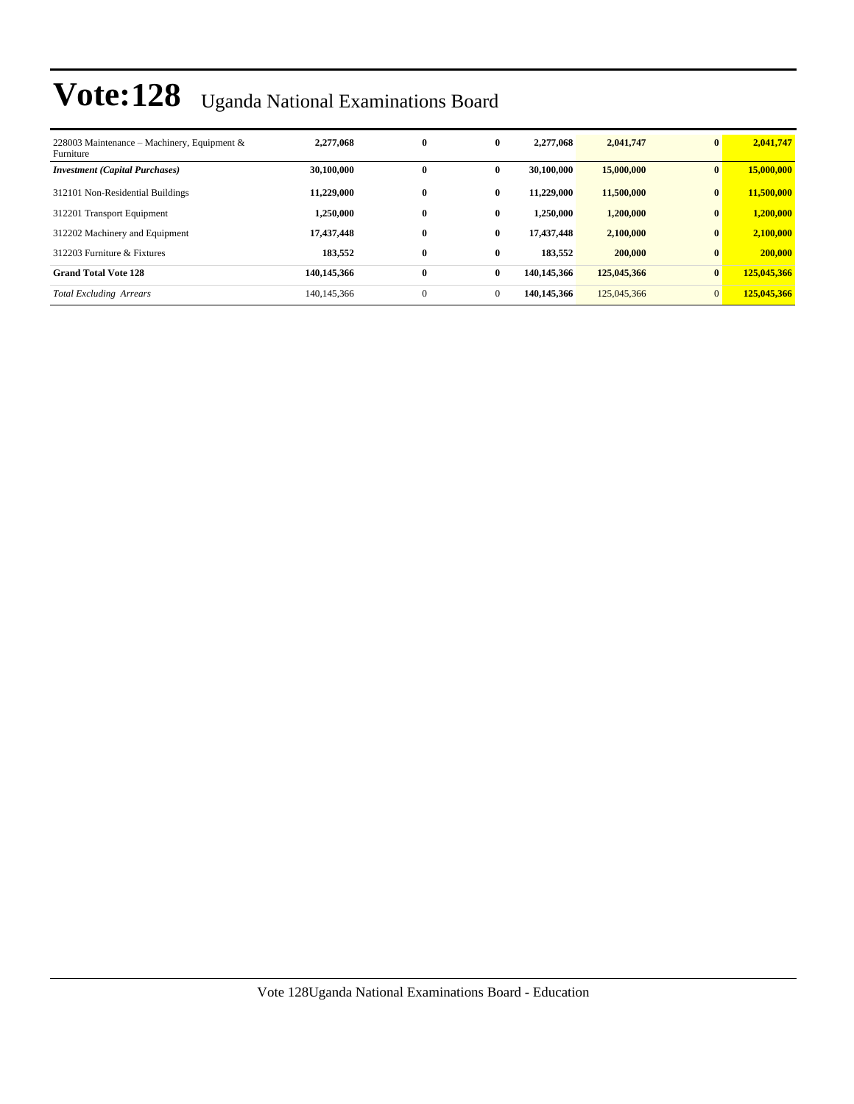| 228003 Maintenance – Machinery, Equipment &<br>Furniture | 2,277,068   | $\bf{0}$     | $\bf{0}$     | 2,277,068   | 2,041,747   | $\bf{0}$       | 2,041,747   |
|----------------------------------------------------------|-------------|--------------|--------------|-------------|-------------|----------------|-------------|
| <b>Investment (Capital Purchases)</b>                    | 30,100,000  | 0            | $\bf{0}$     | 30,100,000  | 15,000,000  | $\mathbf{0}$   | 15,000,000  |
| 312101 Non-Residential Buildings                         | 11.229,000  | $\bf{0}$     | $\bf{0}$     | 11.229.000  | 11,500,000  | $\bf{0}$       | 11,500,000  |
| 312201 Transport Equipment                               | 1,250,000   | $\bf{0}$     | $\mathbf{0}$ | 1.250.000   | 1,200,000   | $\bf{0}$       | 1,200,000   |
| 312202 Machinery and Equipment                           | 17,437,448  | $\bf{0}$     | $\mathbf{0}$ | 17,437,448  | 2,100,000   | $\mathbf{0}$   | 2,100,000   |
| 312203 Furniture & Fixtures                              | 183,552     | $\bf{0}$     | $\bf{0}$     | 183.552     | 200,000     | $\bf{0}$       | 200,000     |
| <b>Grand Total Vote 128</b>                              | 140.145.366 | $\bf{0}$     | $\mathbf{0}$ | 140,145,366 | 125,045,366 | $\bf{0}$       | 125,045,366 |
| <b>Total Excluding Arrears</b>                           | 140.145.366 | $\mathbf{0}$ | $\mathbf{0}$ | 140,145,366 | 125,045,366 | $\overline{0}$ | 125,045,366 |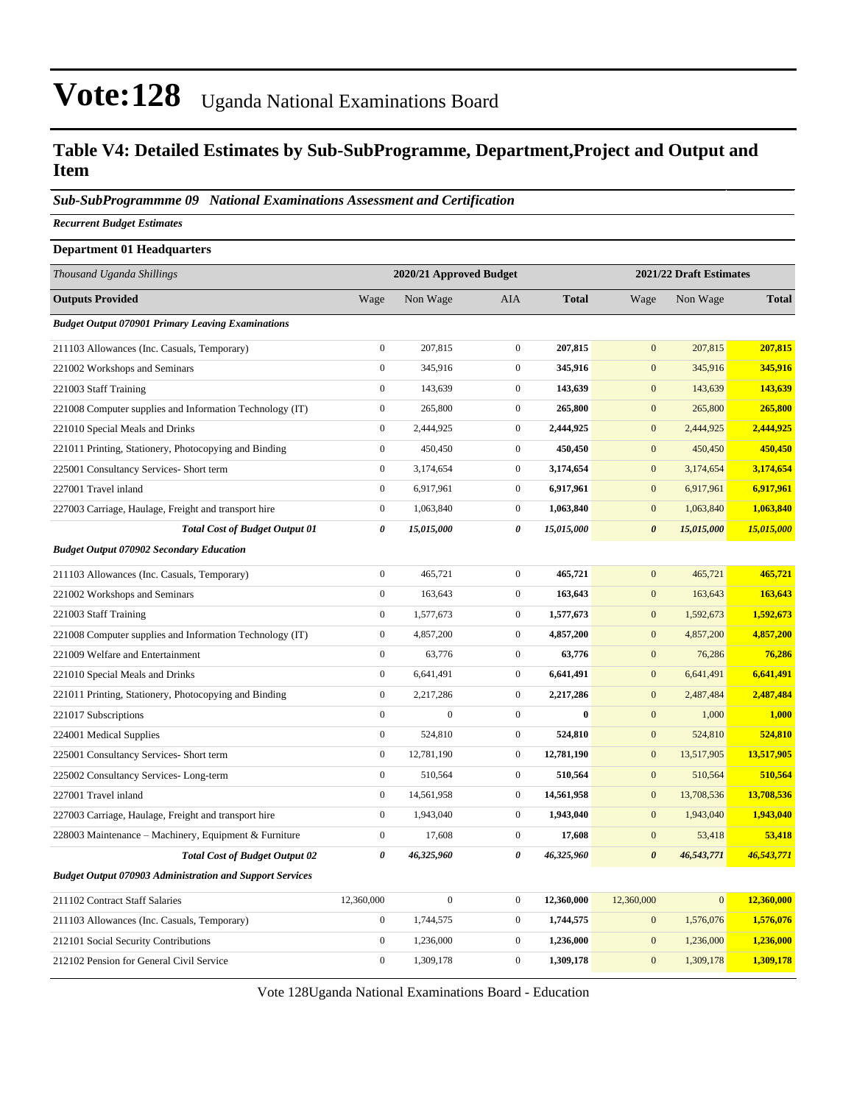#### **Table V4: Detailed Estimates by Sub-SubProgramme, Department,Project and Output and Item**

*Sub-SubProgrammme 09 National Examinations Assessment and Certification*

*Recurrent Budget Estimates*

| <b>Department 01 Headquarters</b>                               |                  |                         |                  |              |                       |                         |              |  |
|-----------------------------------------------------------------|------------------|-------------------------|------------------|--------------|-----------------------|-------------------------|--------------|--|
| Thousand Uganda Shillings                                       |                  | 2020/21 Approved Budget |                  |              |                       | 2021/22 Draft Estimates |              |  |
| <b>Outputs Provided</b>                                         | Wage             | Non Wage                | AIA              | <b>Total</b> | Wage                  | Non Wage                | <b>Total</b> |  |
| <b>Budget Output 070901 Primary Leaving Examinations</b>        |                  |                         |                  |              |                       |                         |              |  |
| 211103 Allowances (Inc. Casuals, Temporary)                     | $\boldsymbol{0}$ | 207,815                 | $\overline{0}$   | 207,815      | $\mathbf{0}$          | 207,815                 | 207,815      |  |
| 221002 Workshops and Seminars                                   | $\boldsymbol{0}$ | 345,916                 | $\mathbf{0}$     | 345,916      | $\mathbf{0}$          | 345,916                 | 345,916      |  |
| 221003 Staff Training                                           | $\boldsymbol{0}$ | 143,639                 | $\boldsymbol{0}$ | 143,639      | $\mathbf{0}$          | 143,639                 | 143,639      |  |
| 221008 Computer supplies and Information Technology (IT)        | $\boldsymbol{0}$ | 265,800                 | $\boldsymbol{0}$ | 265,800      | $\mathbf{0}$          | 265,800                 | 265,800      |  |
| 221010 Special Meals and Drinks                                 | $\boldsymbol{0}$ | 2,444,925               | $\mathbf{0}$     | 2,444,925    | $\mathbf{0}$          | 2,444,925               | 2,444,925    |  |
| 221011 Printing, Stationery, Photocopying and Binding           | $\boldsymbol{0}$ | 450,450                 | $\mathbf{0}$     | 450,450      | $\mathbf{0}$          | 450,450                 | 450,450      |  |
| 225001 Consultancy Services- Short term                         | $\boldsymbol{0}$ | 3,174,654               | $\mathbf{0}$     | 3,174,654    | $\overline{0}$        | 3,174,654               | 3,174,654    |  |
| 227001 Travel inland                                            | $\boldsymbol{0}$ | 6,917,961               | $\boldsymbol{0}$ | 6,917,961    | $\mathbf{0}$          | 6,917,961               | 6,917,961    |  |
| 227003 Carriage, Haulage, Freight and transport hire            | $\boldsymbol{0}$ | 1,063,840               | $\boldsymbol{0}$ | 1,063,840    | $\mathbf{0}$          | 1,063,840               | 1,063,840    |  |
| <b>Total Cost of Budget Output 01</b>                           | 0                | 15,015,000              | 0                | 15,015,000   | $\boldsymbol{\theta}$ | 15,015,000              | 15,015,000   |  |
| <b>Budget Output 070902 Secondary Education</b>                 |                  |                         |                  |              |                       |                         |              |  |
| 211103 Allowances (Inc. Casuals, Temporary)                     | $\boldsymbol{0}$ | 465,721                 | $\boldsymbol{0}$ | 465,721      | $\mathbf{0}$          | 465,721                 | 465,721      |  |
| 221002 Workshops and Seminars                                   | $\boldsymbol{0}$ | 163,643                 | $\mathbf{0}$     | 163,643      | $\overline{0}$        | 163,643                 | 163,643      |  |
| 221003 Staff Training                                           | $\boldsymbol{0}$ | 1,577,673               | $\boldsymbol{0}$ | 1,577,673    | $\mathbf{0}$          | 1,592,673               | 1,592,673    |  |
| 221008 Computer supplies and Information Technology (IT)        | $\boldsymbol{0}$ | 4,857,200               | $\boldsymbol{0}$ | 4,857,200    | $\mathbf{0}$          | 4,857,200               | 4,857,200    |  |
| 221009 Welfare and Entertainment                                | $\boldsymbol{0}$ | 63,776                  | $\boldsymbol{0}$ | 63,776       | $\overline{0}$        | 76,286                  | 76,286       |  |
| 221010 Special Meals and Drinks                                 | $\boldsymbol{0}$ | 6,641,491               | $\boldsymbol{0}$ | 6,641,491    | $\mathbf{0}$          | 6,641,491               | 6,641,491    |  |
| 221011 Printing, Stationery, Photocopying and Binding           | $\boldsymbol{0}$ | 2,217,286               | $\mathbf{0}$     | 2,217,286    | $\mathbf{0}$          | 2,487,484               | 2,487,484    |  |
| 221017 Subscriptions                                            | $\boldsymbol{0}$ | $\boldsymbol{0}$        | $\overline{0}$   | $\bf{0}$     | $\overline{0}$        | 1,000                   | 1,000        |  |
| 224001 Medical Supplies                                         | $\boldsymbol{0}$ | 524,810                 | $\boldsymbol{0}$ | 524,810      | $\mathbf{0}$          | 524,810                 | 524,810      |  |
| 225001 Consultancy Services- Short term                         | $\boldsymbol{0}$ | 12,781,190              | $\mathbf{0}$     | 12,781,190   | $\mathbf{0}$          | 13,517,905              | 13,517,905   |  |
| 225002 Consultancy Services-Long-term                           | $\boldsymbol{0}$ | 510,564                 | $\boldsymbol{0}$ | 510,564      | $\mathbf{0}$          | 510,564                 | 510,564      |  |
| 227001 Travel inland                                            | $\boldsymbol{0}$ | 14,561,958              | $\mathbf{0}$     | 14,561,958   | $\overline{0}$        | 13,708,536              | 13,708,536   |  |
| 227003 Carriage, Haulage, Freight and transport hire            | $\boldsymbol{0}$ | 1,943,040               | $\boldsymbol{0}$ | 1,943,040    | $\mathbf{0}$          | 1,943,040               | 1,943,040    |  |
| 228003 Maintenance – Machinery, Equipment & Furniture           | $\boldsymbol{0}$ | 17,608                  | $\boldsymbol{0}$ | 17,608       | $\overline{0}$        | 53,418                  | 53,418       |  |
| <b>Total Cost of Budget Output 02</b>                           | 0                | 46,325,960              | 0                | 46,325,960   | $\boldsymbol{\theta}$ | 46,543,771              | 46,543,771   |  |
| <b>Budget Output 070903 Administration and Support Services</b> |                  |                         |                  |              |                       |                         |              |  |
| 211102 Contract Staff Salaries                                  | 12,360,000       | $\boldsymbol{0}$        | $\overline{0}$   | 12,360,000   | 12,360,000            | $\mathbf{0}$            | 12,360,000   |  |
| 211103 Allowances (Inc. Casuals, Temporary)                     | $\boldsymbol{0}$ | 1,744,575               | $\boldsymbol{0}$ | 1,744,575    | $\mathbf{0}$          | 1,576,076               | 1,576,076    |  |
| 212101 Social Security Contributions                            | $\boldsymbol{0}$ | 1,236,000               | $\boldsymbol{0}$ | 1,236,000    | $\mathbf{0}$          | 1,236,000               | 1,236,000    |  |
| 212102 Pension for General Civil Service                        | $\boldsymbol{0}$ | 1,309,178               | $\boldsymbol{0}$ | 1,309,178    | $\mathbf{0}$          | 1,309,178               | 1,309,178    |  |
|                                                                 |                  |                         |                  |              |                       |                         |              |  |

Vote 128Uganda National Examinations Board - Education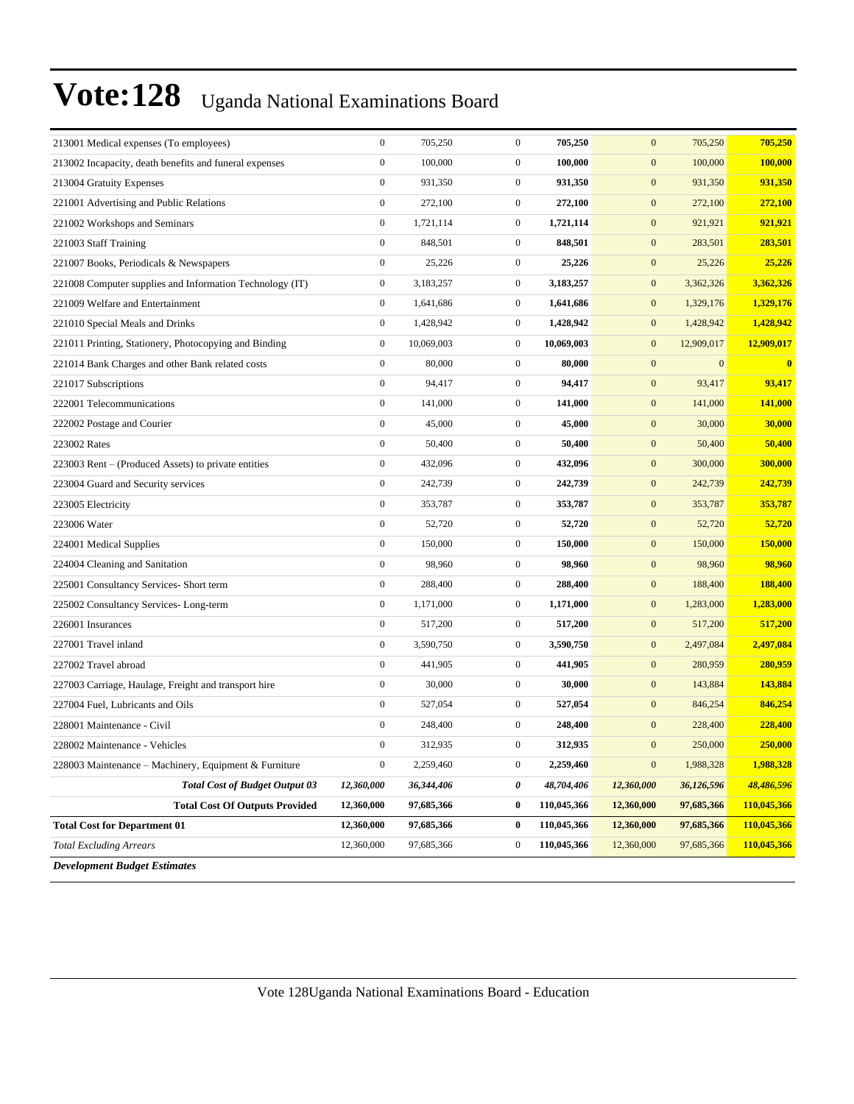| 213001 Medical expenses (To employees)                   | $\boldsymbol{0}$ | 705,250    | $\boldsymbol{0}$ | 705,250     | $\mathbf{0}$     | 705,250      | 705,250     |
|----------------------------------------------------------|------------------|------------|------------------|-------------|------------------|--------------|-------------|
| 213002 Incapacity, death benefits and funeral expenses   | $\boldsymbol{0}$ | 100,000    | $\boldsymbol{0}$ | 100,000     | $\mathbf{0}$     | 100,000      | 100,000     |
| 213004 Gratuity Expenses                                 | $\boldsymbol{0}$ | 931,350    | $\boldsymbol{0}$ | 931,350     | $\mathbf{0}$     | 931,350      | 931,350     |
| 221001 Advertising and Public Relations                  | $\boldsymbol{0}$ | 272,100    | $\boldsymbol{0}$ | 272,100     | $\mathbf{0}$     | 272,100      | 272,100     |
| 221002 Workshops and Seminars                            | $\boldsymbol{0}$ | 1,721,114  | $\boldsymbol{0}$ | 1,721,114   | $\mathbf{0}$     | 921,921      | 921,921     |
| 221003 Staff Training                                    | $\boldsymbol{0}$ | 848,501    | $\boldsymbol{0}$ | 848,501     | $\mathbf{0}$     | 283,501      | 283,501     |
| 221007 Books, Periodicals & Newspapers                   | $\boldsymbol{0}$ | 25,226     | $\boldsymbol{0}$ | 25,226      | $\mathbf{0}$     | 25,226       | 25,226      |
| 221008 Computer supplies and Information Technology (IT) | $\boldsymbol{0}$ | 3,183,257  | $\overline{0}$   | 3,183,257   | $\mathbf{0}$     | 3,362,326    | 3,362,326   |
| 221009 Welfare and Entertainment                         | $\boldsymbol{0}$ | 1,641,686  | $\boldsymbol{0}$ | 1,641,686   | $\mathbf{0}$     | 1,329,176    | 1,329,176   |
| 221010 Special Meals and Drinks                          | $\boldsymbol{0}$ | 1,428,942  | $\boldsymbol{0}$ | 1,428,942   | $\mathbf{0}$     | 1,428,942    | 1,428,942   |
| 221011 Printing, Stationery, Photocopying and Binding    | $\boldsymbol{0}$ | 10,069,003 | $\boldsymbol{0}$ | 10,069,003  | $\mathbf{0}$     | 12,909,017   | 12,909,017  |
| 221014 Bank Charges and other Bank related costs         | $\boldsymbol{0}$ | 80,000     | $\boldsymbol{0}$ | 80,000      | $\mathbf{0}$     | $\mathbf{0}$ | $\bf{0}$    |
| 221017 Subscriptions                                     | $\boldsymbol{0}$ | 94,417     | $\boldsymbol{0}$ | 94,417      | $\mathbf{0}$     | 93,417       | 93,417      |
| 222001 Telecommunications                                | $\boldsymbol{0}$ | 141,000    | $\boldsymbol{0}$ | 141,000     | $\mathbf{0}$     | 141,000      | 141,000     |
| 222002 Postage and Courier                               | $\boldsymbol{0}$ | 45,000     | $\boldsymbol{0}$ | 45,000      | $\mathbf{0}$     | 30,000       | 30,000      |
| 223002 Rates                                             | $\boldsymbol{0}$ | 50,400     | $\boldsymbol{0}$ | 50,400      | $\mathbf{0}$     | 50,400       | 50,400      |
| 223003 Rent - (Produced Assets) to private entities      | $\boldsymbol{0}$ | 432,096    | $\boldsymbol{0}$ | 432,096     | $\mathbf{0}$     | 300,000      | 300,000     |
| 223004 Guard and Security services                       | $\boldsymbol{0}$ | 242,739    | $\boldsymbol{0}$ | 242,739     | $\mathbf{0}$     | 242,739      | 242,739     |
| 223005 Electricity                                       | $\boldsymbol{0}$ | 353,787    | $\boldsymbol{0}$ | 353,787     | $\mathbf{0}$     | 353,787      | 353,787     |
| 223006 Water                                             | $\boldsymbol{0}$ | 52,720     | $\boldsymbol{0}$ | 52,720      | $\mathbf{0}$     | 52,720       | 52,720      |
| 224001 Medical Supplies                                  | $\boldsymbol{0}$ | 150,000    | $\boldsymbol{0}$ | 150,000     | $\mathbf{0}$     | 150,000      | 150,000     |
| 224004 Cleaning and Sanitation                           | $\boldsymbol{0}$ | 98,960     | $\boldsymbol{0}$ | 98,960      | $\mathbf{0}$     | 98,960       | 98,960      |
| 225001 Consultancy Services- Short term                  | $\boldsymbol{0}$ | 288,400    | $\boldsymbol{0}$ | 288,400     | $\mathbf{0}$     | 188,400      | 188,400     |
| 225002 Consultancy Services-Long-term                    | $\boldsymbol{0}$ | 1,171,000  | $\boldsymbol{0}$ | 1,171,000   | $\mathbf{0}$     | 1,283,000    | 1,283,000   |
| 226001 Insurances                                        | $\boldsymbol{0}$ | 517,200    | $\boldsymbol{0}$ | 517,200     | $\mathbf{0}$     | 517,200      | 517,200     |
| 227001 Travel inland                                     | $\boldsymbol{0}$ | 3,590,750  | $\boldsymbol{0}$ | 3,590,750   | $\mathbf{0}$     | 2,497,084    | 2,497,084   |
| 227002 Travel abroad                                     | $\boldsymbol{0}$ | 441,905    | $\boldsymbol{0}$ | 441,905     | $\mathbf{0}$     | 280,959      | 280,959     |
| 227003 Carriage, Haulage, Freight and transport hire     | $\boldsymbol{0}$ | 30,000     | $\boldsymbol{0}$ | 30,000      | $\mathbf{0}$     | 143,884      | 143,884     |
| 227004 Fuel, Lubricants and Oils                         | $\boldsymbol{0}$ | 527,054    | $\boldsymbol{0}$ | 527,054     | $\mathbf{0}$     | 846,254      | 846,254     |
| 228001 Maintenance - Civil                               | $\boldsymbol{0}$ | 248,400    | $\boldsymbol{0}$ | 248,400     | $\mathbf{0}$     | 228,400      | 228,400     |
| 228002 Maintenance - Vehicles                            | $\overline{0}$   | 312,935    | $\mathbf{0}$     | 312,935     | $\mathbf{0}$     | 250,000      | 250,000     |
| 228003 Maintenance - Machinery, Equipment & Furniture    | $\boldsymbol{0}$ | 2,259,460  | $\boldsymbol{0}$ | 2,259,460   | $\boldsymbol{0}$ | 1,988,328    | 1,988,328   |
| <b>Total Cost of Budget Output 03</b>                    | 12,360,000       | 36,344,406 | 0                | 48,704,406  | 12,360,000       | 36,126,596   | 48,486,596  |
| <b>Total Cost Of Outputs Provided</b>                    | 12,360,000       | 97,685,366 | $\boldsymbol{0}$ | 110,045,366 | 12,360,000       | 97,685,366   | 110,045,366 |
| <b>Total Cost for Department 01</b>                      | 12,360,000       | 97,685,366 | $\boldsymbol{0}$ | 110,045,366 | 12,360,000       | 97,685,366   | 110,045,366 |
| <b>Total Excluding Arrears</b>                           | 12,360,000       | 97,685,366 | $\boldsymbol{0}$ | 110,045,366 | 12,360,000       | 97,685,366   | 110,045,366 |
| <b>Development Budget Estimates</b>                      |                  |            |                  |             |                  |              |             |